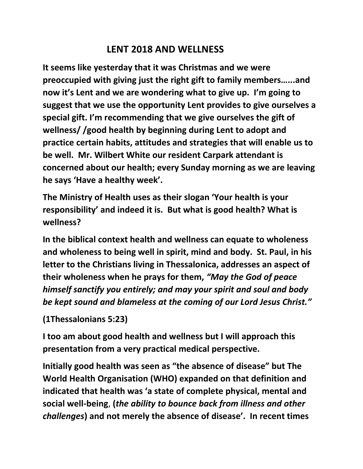## **LENT 2018 AND WELLNESS**

**It seems like yesterday that it was Christmas and we were preoccupied with giving just the right gift to family members…...and now it's Lent and we are wondering what to give up. I'm going to suggest that we use the opportunity Lent provides to give ourselves a special gift. I'm recommending that we give ourselves the gift of wellness/ /good health by beginning during Lent to adopt and practice certain habits, attitudes and strategies that will enable us to be well. Mr. Wilbert White our resident Carpark attendant is concerned about our health; every Sunday morning as we are leaving he says 'Have a healthy week'.**

**The Ministry of Health uses as their slogan 'Your health is your responsibility' and indeed it is. But what is good health? What is wellness?** 

**In the biblical context health and wellness can equate to wholeness and wholeness to being well in spirit, mind and body. St. Paul, in his letter to the Christians living in Thessalonica, addresses an aspect of their wholeness when he prays for them,** *"May the God of peace himself sanctify you entirely; and may your spirit and soul and body be kept sound and blameless at the coming of our Lord Jesus Christ."* 

**(1Thessalonians 5:23)**

**I too am about good health and wellness but I will approach this presentation from a very practical medical perspective.** 

**Initially good health was seen as "the absence of disease" but The World Health Organisation (WHO) expanded on that definition and indicated that health was 'a state of complete physical, mental and social well-being**, **(***the ability to bounce back from illness and other challenges***) and not merely the absence of disease'. In recent times**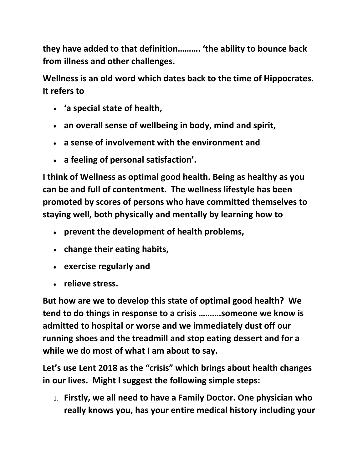**they have added to that definition………. 'the ability to bounce back from illness and other challenges.** 

**Wellness is an old word which dates back to the time of Hippocrates. It refers to** 

- **'a special state of health,**
- **an overall sense of wellbeing in body, mind and spirit,**
- **a sense of involvement with the environment and**
- **a feeling of personal satisfaction'.**

**I think of Wellness as optimal good health. Being as healthy as you can be and full of contentment. The wellness lifestyle has been promoted by scores of persons who have committed themselves to staying well, both physically and mentally by learning how to** 

- **prevent the development of health problems,**
- **change their eating habits,**
- **exercise regularly and**
- **relieve stress.**

**But how are we to develop this state of optimal good health? We tend to do things in response to a crisis ……….someone we know is admitted to hospital or worse and we immediately dust off our running shoes and the treadmill and stop eating dessert and for a while we do most of what I am about to say.** 

**Let's use Lent 2018 as the "crisis" which brings about health changes in our lives. Might I suggest the following simple steps:**

1. **Firstly, we all need to have a Family Doctor. One physician who really knows you, has your entire medical history including your**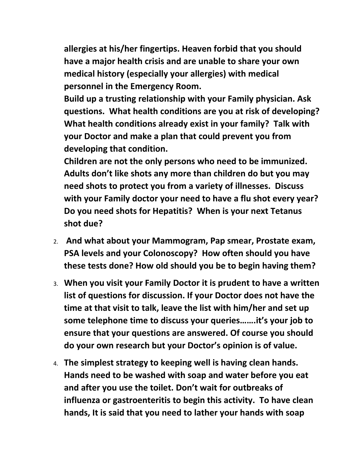**allergies at his/her fingertips. Heaven forbid that you should have a major health crisis and are unable to share your own medical history (especially your allergies) with medical personnel in the Emergency Room.** 

**Build up a trusting relationship with your Family physician. Ask questions. What health conditions are you at risk of developing? What health conditions already exist in your family? Talk with your Doctor and make a plan that could prevent you from developing that condition.** 

**Children are not the only persons who need to be immunized. Adults don't like shots any more than children do but you may need shots to protect you from a variety of illnesses. Discuss with your Family doctor your need to have a flu shot every year? Do you need shots for Hepatitis? When is your next Tetanus shot due?** 

- 2. **And what about your Mammogram, Pap smear, Prostate exam, PSA levels and your Colonoscopy? How often should you have these tests done? How old should you be to begin having them?**
- 3. **When you visit your Family Doctor it is prudent to have a written list of questions for discussion. If your Doctor does not have the time at that visit to talk, leave the list with him/her and set up some telephone time to discuss your queries…….it's your job to ensure that your questions are answered. Of course you should do your own research but your Doctor's opinion is of value.**
- 4. **The simplest strategy to keeping well is having clean hands. Hands need to be washed with soap and water before you eat and after you use the toilet. Don't wait for outbreaks of influenza or gastroenteritis to begin this activity. To have clean hands, It is said that you need to lather your hands with soap**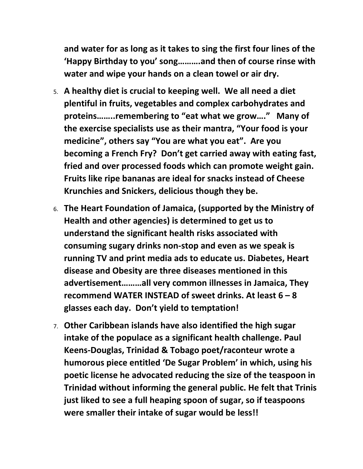**and water for as long as it takes to sing the first four lines of the 'Happy Birthday to you' song……….and then of course rinse with water and wipe your hands on a clean towel or air dry.**

- 5. **A healthy diet is crucial to keeping well. We all need a diet plentiful in fruits, vegetables and complex carbohydrates and proteins……..remembering to "eat what we grow…." Many of the exercise specialists use as their mantra, "Your food is your medicine", others say "You are what you eat". Are you becoming a French Fry? Don't get carried away with eating fast, fried and over processed foods which can promote weight gain. Fruits like ripe bananas are ideal for snacks instead of Cheese Krunchies and Snickers, delicious though they be.**
- 6. **The Heart Foundation of Jamaica, (supported by the Ministry of Health and other agencies) is determined to get us to understand the significant health risks associated with consuming sugary drinks non-stop and even as we speak is running TV and print media ads to educate us. Diabetes, Heart disease and Obesity are three diseases mentioned in this advertisement………all very common illnesses in Jamaica, They recommend WATER INSTEAD of sweet drinks. At least 6 – 8 glasses each day. Don't yield to temptation!**
- 7. **Other Caribbean islands have also identified the high sugar intake of the populace as a significant health challenge. Paul Keens-Douglas, Trinidad & Tobago poet/raconteur wrote a humorous piece entitled 'De Sugar Problem' in which, using his poetic license he advocated reducing the size of the teaspoon in Trinidad without informing the general public. He felt that Trinis just liked to see a full heaping spoon of sugar, so if teaspoons were smaller their intake of sugar would be less!!**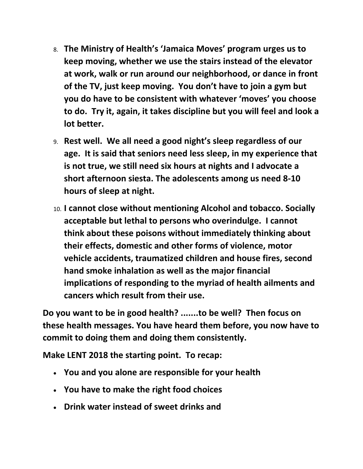- 8. **The Ministry of Health's 'Jamaica Moves' program urges us to keep moving, whether we use the stairs instead of the elevator at work, walk or run around our neighborhood, or dance in front of the TV, just keep moving. You don't have to join a gym but you do have to be consistent with whatever 'moves' you choose to do. Try it, again, it takes discipline but you will feel and look a lot better.**
- 9. **Rest well. We all need a good night's sleep regardless of our age. It is said that seniors need less sleep, in my experience that is not true, we still need six hours at nights and I advocate a short afternoon siesta. The adolescents among us need 8-10 hours of sleep at night.**
- 10. **I cannot close without mentioning Alcohol and tobacco. Socially acceptable but lethal to persons who overindulge. I cannot think about these poisons without immediately thinking about their effects, domestic and other forms of violence, motor vehicle accidents, traumatized children and house fires, second hand smoke inhalation as well as the major financial implications of responding to the myriad of health ailments and cancers which result from their use.**

**Do you want to be in good health? .......to be well? Then focus on these health messages. You have heard them before, you now have to commit to doing them and doing them consistently.** 

**Make LENT 2018 the starting point. To recap:**

- **You and you alone are responsible for your health**
- **You have to make the right food choices**
- **Drink water instead of sweet drinks and**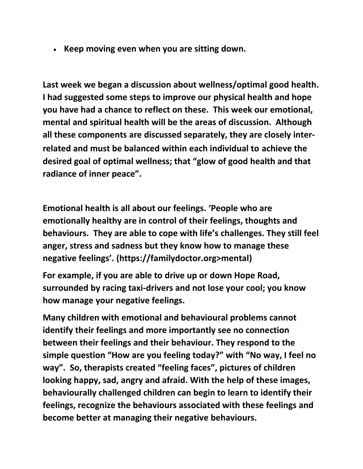**Keep moving even when you are sitting down.** 

**Last week we began a discussion about wellness/optimal good health. I had suggested some steps to improve our physical health and hope you have had a chance to reflect on these. This week our emotional, mental and spiritual health will be the areas of discussion. Although all these components are discussed separately, they are closely interrelated and must be balanced within each individual to achieve the desired goal of optimal wellness; that "glow of good health and that radiance of inner peace".** 

**Emotional health is all about our feelings. 'People who are emotionally healthy are in control of their feelings, thoughts and behaviours. They are able to cope with life's challenges. They still feel anger, stress and sadness but they know how to manage these negative feelings'. (https://familydoctor.org>mental)** 

**For example, if you are able to drive up or down Hope Road, surrounded by racing taxi-drivers and not lose your cool; you know how manage your negative feelings.** 

**Many children with emotional and behavioural problems cannot identify their feelings and more importantly see no connection between their feelings and their behaviour. They respond to the simple question "How are you feeling today?" with "No way, I feel no way". So, therapists created "feeling faces", pictures of children looking happy, sad, angry and afraid. With the help of these images, behaviourally challenged children can begin to learn to identify their feelings, recognize the behaviours associated with these feelings and become better at managing their negative behaviours.**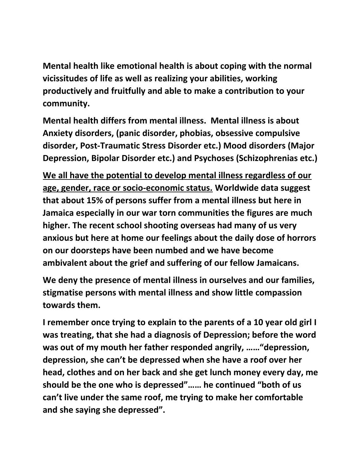**Mental health like emotional health is about coping with the normal vicissitudes of life as well as realizing your abilities, working productively and fruitfully and able to make a contribution to your community.** 

**Mental health differs from mental illness. Mental illness is about Anxiety disorders, (panic disorder, phobias, obsessive compulsive disorder, Post-Traumatic Stress Disorder etc.) Mood disorders (Major Depression, Bipolar Disorder etc.) and Psychoses (Schizophrenias etc.)**

**We all have the potential to develop mental illness regardless of our age, gender, race or socio-economic status. Worldwide data suggest that about 15% of persons suffer from a mental illness but here in Jamaica especially in our war torn communities the figures are much higher. The recent school shooting overseas had many of us very anxious but here at home our feelings about the daily dose of horrors on our doorsteps have been numbed and we have become ambivalent about the grief and suffering of our fellow Jamaicans.** 

**We deny the presence of mental illness in ourselves and our families, stigmatise persons with mental illness and show little compassion towards them.**

**I remember once trying to explain to the parents of a 10 year old girl I was treating, that she had a diagnosis of Depression; before the word was out of my mouth her father responded angrily, ……"depression, depression, she can't be depressed when she have a roof over her head, clothes and on her back and she get lunch money every day, me should be the one who is depressed"…… he continued "both of us can't live under the same roof, me trying to make her comfortable and she saying she depressed".**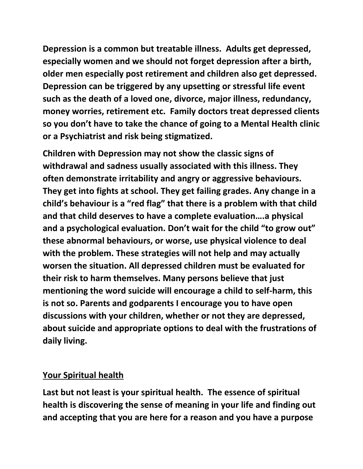**Depression is a common but treatable illness. Adults get depressed, especially women and we should not forget depression after a birth, older men especially post retirement and children also get depressed. Depression can be triggered by any upsetting or stressful life event such as the death of a loved one, divorce, major illness, redundancy, money worries, retirement etc. Family doctors treat depressed clients so you don't have to take the chance of going to a Mental Health clinic or a Psychiatrist and risk being stigmatized.** 

**Children with Depression may not show the classic signs of withdrawal and sadness usually associated with this illness. They often demonstrate irritability and angry or aggressive behaviours. They get into fights at school. They get failing grades. Any change in a child's behaviour is a "red flag" that there is a problem with that child and that child deserves to have a complete evaluation….a physical and a psychological evaluation. Don't wait for the child "to grow out" these abnormal behaviours, or worse, use physical violence to deal with the problem. These strategies will not help and may actually worsen the situation. All depressed children must be evaluated for their risk to harm themselves. Many persons believe that just mentioning the word suicide will encourage a child to self-harm, this is not so. Parents and godparents I encourage you to have open discussions with your children, whether or not they are depressed, about suicide and appropriate options to deal with the frustrations of daily living.** 

## **Your Spiritual health**

**Last but not least is your spiritual health. The essence of spiritual health is discovering the sense of meaning in your life and finding out and accepting that you are here for a reason and you have a purpose**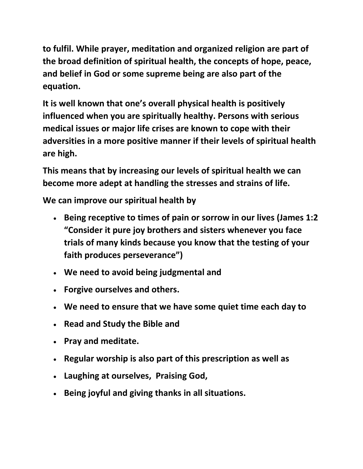**to fulfil. While prayer, meditation and organized religion are part of the broad definition of spiritual health, the concepts of hope, peace, and belief in God or some supreme being are also part of the equation.** 

**It is well known that one's overall physical health is positively influenced when you are spiritually healthy. Persons with serious medical issues or major life crises are known to cope with their adversities in a more positive manner if their levels of spiritual health are high.** 

**This means that by increasing our levels of spiritual health we can become more adept at handling the stresses and strains of life.** 

**We can improve our spiritual health by**

- **Being receptive to times of pain or sorrow in our lives (James 1:2 "Consider it pure joy brothers and sisters whenever you face trials of many kinds because you know that the testing of your faith produces perseverance")**
- **We need to avoid being judgmental and**
- **Forgive ourselves and others.**
- **We need to ensure that we have some quiet time each day to**
- **Read and Study the Bible and**
- **Pray and meditate.**
- **Regular worship is also part of this prescription as well as**
- **Laughing at ourselves, Praising God,**
- **Being joyful and giving thanks in all situations.**